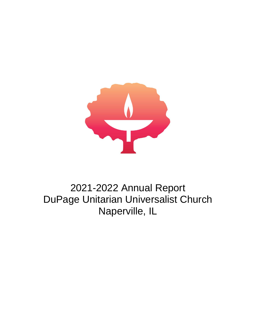

# 2021-2022 Annual Report DuPage Unitarian Universalist Church Naperville, IL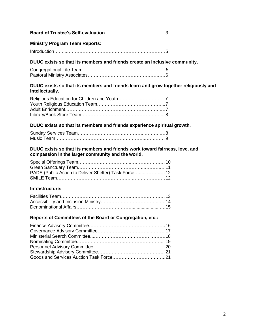#### **Ministry Program Team Reports:**

|--|--|

#### **DUUC exists so that its members and friends create an inclusive community.**

#### **DUUC exists so that its members and friends learn and grow together religiously and intellectually.**

#### **DUUC exists so that its members and friends experience spiritual growth.**

#### **DUUC exists so that its members and friends work toward fairness, love, and compassion in the larger community and the world.**

| PADS (Public Action to Deliver Shelter) Task Force 12 |  |
|-------------------------------------------------------|--|
|                                                       |  |

#### **Infrastructure:**

#### **Reports of Committees of the Board or Congregation, etc.:**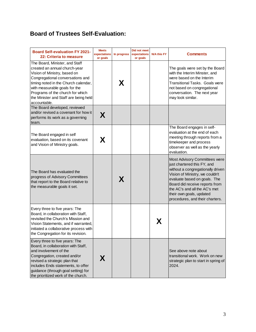# **Board of Trustees Self-Evaluation:**

| <b>Board Self-evaluation FY 2021-</b><br>22: Criteria to measure                                                                                                                                                                                                                                          | <b>Meets</b><br>expectations<br>or goals | In progress | Did not meet<br>expectations<br>or goals | <b>N/A this FY</b> | <b>Comments</b>                                                                                                                                                                                                                                                                                        |
|-----------------------------------------------------------------------------------------------------------------------------------------------------------------------------------------------------------------------------------------------------------------------------------------------------------|------------------------------------------|-------------|------------------------------------------|--------------------|--------------------------------------------------------------------------------------------------------------------------------------------------------------------------------------------------------------------------------------------------------------------------------------------------------|
| The Board, Minister, and Staff<br>created an annual church-year<br>Vision of Ministry, based on<br>Congregational conversations and<br>timing noted in the Church calendar,<br>with measurable goals for the<br>Programs of the church for which<br>the Minister and Staff are being held<br>accountable. |                                          | X           |                                          |                    | The goals were set by the Board<br>with the Interim Minster, and<br>were based on the Interim<br><b>Transitional Tasks. Goals were</b><br>not based on congregational<br>conversation. The next year<br>may look similar.                                                                              |
| The Board developed, reviewed<br>and/or revised a covenant for how it<br>performs its work as a governing<br>team.                                                                                                                                                                                        | X                                        |             |                                          |                    |                                                                                                                                                                                                                                                                                                        |
| The Board engaged in self<br>evaluation, based on its covenant<br>and Vision of Ministry goals.                                                                                                                                                                                                           | X                                        |             |                                          |                    | The Board engages in self-<br>evaluation at the end of each<br>meeting through reports from a<br>timekeeper and process<br>observer as well as the yearly<br>evaluation.                                                                                                                               |
| The Board has evaluated the<br>progress of Advisory Committees<br>that report to the Board relative to<br>the measurable goals it set.                                                                                                                                                                    |                                          | X           |                                          |                    | Most Advisory Committees were<br>just chartered this FY, and<br>without a congregationally driven<br>Vision of Ministry, we couldn't<br>evaluate based on goals. The<br>Board did receive reports from<br>the AC's and all the AC's met<br>their own goals, updated<br>procedures, and their charters. |
| Every three to five years: The<br>Board, in collaboration with Staff,<br>revisited the Church's Mission and<br>Vision Statements, and if warranted,<br>initiated a collaborative process with<br>the Congregation for its revision.                                                                       |                                          |             |                                          | X                  |                                                                                                                                                                                                                                                                                                        |
| Every three to five years: The<br>Board, in collaboration with Staff,<br>and involvement of the<br>Congregation, created and/or<br>revised a strategic plan that<br>includes Ends statements, to offer<br>guidance (through goal setting) for<br>the prioritized work of the church.                      | X                                        |             |                                          |                    | See above note about<br>transitional work. Work on new<br>strategic plan to start in spring of<br>2024.                                                                                                                                                                                                |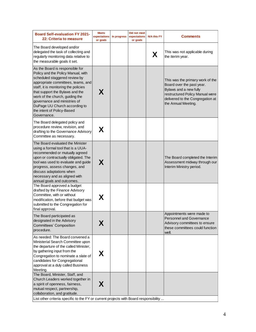| <b>Board Self-evaluation FY 2021-</b><br>22: Criteria to measure                                                                                                                                                                                                                                                                                                         | <b>Meets</b><br>expectations<br>or goals | In progress | Did not meet<br>expectations<br>or goals | <b>N/A this FY</b> | <b>Comments</b>                                                                                                                                                                       |  |
|--------------------------------------------------------------------------------------------------------------------------------------------------------------------------------------------------------------------------------------------------------------------------------------------------------------------------------------------------------------------------|------------------------------------------|-------------|------------------------------------------|--------------------|---------------------------------------------------------------------------------------------------------------------------------------------------------------------------------------|--|
| The Board developed and/or<br>delegated the task of collecting and<br>regularly monitoring data relative to<br>the measurable goals it set.                                                                                                                                                                                                                              |                                          |             |                                          | X                  | This was not applicable during<br>the iterim year.                                                                                                                                    |  |
| As the Board is responsible for<br>Policy and the Policy Manual, with<br>scheduled staggered review by<br>appropriate committees, teams, and<br>staff, it is monitoring the policies<br>that support the Bylaws and the<br>work of the church, guiding the<br>governance and ministries of<br>DuPage UU Church according to<br>the intent of Policy-Based<br>Governance. | X                                        |             |                                          |                    | This was the primary work of the<br>Board over the past year.<br>Bylaws and a new fully<br>restructured Policy Manual were<br>delivered to the Congregation at<br>the Annual Meeting. |  |
| The Board delegated policy and<br>procedure review, revision, and<br>drafting to the Governance Advisory<br>Committee as necessary.                                                                                                                                                                                                                                      | X                                        |             |                                          |                    |                                                                                                                                                                                       |  |
| The Board evaluated the Minister<br>using a formal tool that is a UUA-<br>recommended or mutually agreed<br>upon or contractually obligated. The<br>tool was used to evaluate and guide<br>progress, assess changes, and<br>discuss adaptations when<br>necessary and as aligned with<br>annual goals and outcomes.                                                      | X                                        |             |                                          |                    | The Board completed the Interim<br>Assessment midway through our<br>Interim Ministry period.                                                                                          |  |
| The Board approved a budget<br>drafted by the Finance Advisory<br>Committee, with or without<br>modification, before that budget was<br>submitted to the Congregation for<br>final approval.                                                                                                                                                                             | X                                        |             |                                          |                    |                                                                                                                                                                                       |  |
| The Board participated as<br>designated in the Advisory<br>Committees' Composition<br>procedure.                                                                                                                                                                                                                                                                         | Χ                                        |             |                                          |                    | Appointments were made to<br>Personnel and Governance<br>Advisory committees to ensure<br>these committees could function<br>well.                                                    |  |
| As needed: The Board convened a<br>Ministerial Search Committee upon<br>the departure of the called Minister,<br>by gathering input from the<br>Congregation to nominate a slate of<br>candidates for Congregational<br>approval at a duly called Business<br>Meeting.                                                                                                   | X                                        |             |                                          |                    |                                                                                                                                                                                       |  |
| The Board, Minister, Staff, and<br>Church Leaders worked together in<br>a spirit of openness, fairness,<br>mutual respect, partnership,<br>collaboration, and gratitude.<br>List other criteria specific to the FY or current projects with Board responsibility                                                                                                         | X                                        |             |                                          |                    |                                                                                                                                                                                       |  |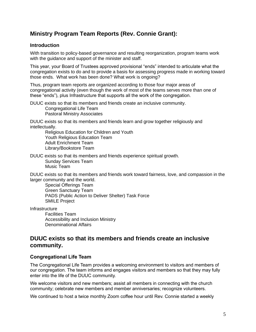# **Ministry Program Team Reports (Rev. Connie Grant):**

## **Introduction**

With transition to policy-based governance and resulting reorganization, program teams work with the guidance and support of the minister and staff.

This year, your Board of Trustees approved provisional "ends" intended to articulate what the congregation exists to do and to provide a basis for assessing progress made in working toward those ends. What work has been done? What work is ongoing?

Thus, program team reports are organized according to those four major areas of congregational activity (even though the work of most of the teams serves more than one of these "ends"), plus Infrastructure that supports all the work of the congregation.

DUUC exists so that its members and friends create an inclusive community. Congregational Life Team Pastoral Ministry Associates

DUUC exists so that its members and friends learn and grow together religiously and intellectually.

Religious Education for Children and Youth Youth Religious Education Team Adult Enrichment Team Library/Bookstore Team

DUUC exists so that its members and friends experience spiritual growth. Sunday Services Team Music Team

DUUC exists so that its members and friends work toward fairness, love, and compassion in the larger community and the world.

Special Offerings Team Green Sanctuary Team PADS (Public Action to Deliver Shelter) Task Force SMILE Project

**Infrastructure** 

Facilities Team Accessibility and Inclusion Ministry Denominational Affairs

# **DUUC exists so that its members and friends create an inclusive community.**

### **Congregational Life Team**

The Congregational Life Team provides a welcoming environment to visitors and members of our congregation. The team informs and engages visitors and members so that they may fully enter into the life of the DUUC community.

We welcome visitors and new members; assist all members in connecting with the church community; celebrate new members and member anniversaries; recognize volunteers.

We continued to host a twice monthly Zoom coffee hour until Rev. Connie started a weekly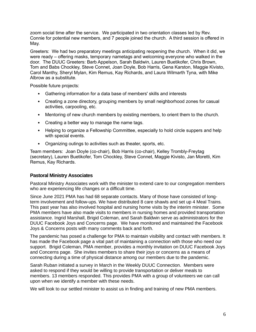zoom social time after the service. We participated in two orientation classes led by Rev. Connie for potential new members, and 7 people joined the church. A third session is offered in May.

Greeters: We had two preparatory meetings anticipating reopening the church. When it did, we were ready – offering masks, temporary nametags and welcoming everyone who walked in the door. The DUUC Greeters: Barb Appelson, Sarah Baldwin, Lauren Buetikofer, Chris Brown, Tom and Babs Chockley, Steve Connet, Joan Doyle, Bob Harris, Gena Karston, Maggie Kivisto, Carol Manthy, Sheryl Mylan, Kim Remus, Kay Richards, and Laura Wilmarth Tyna, with Mike Albrow as a substitute.

Possible future projects:

- Gathering information for a data base of members' skills and interests
- Creating a zone directory, grouping members by small neighborhood zones for casual activities, carpooling, etc.
- Mentoring of new church members by existing members, to orient them to the church.
- Creating a better way to manage the name tags.
- Helping to organize a Fellowship Committee, especially to hold circle suppers and help with special events.
- Organizing outings to activities such as theater, sports, etc.

Team members:Joan Doyle (co-chair), Bob Harris (co-chair), Kelley Trombly-Freytag (secretary), Lauren Buetikofer, Tom Chockley, Steve Connet, Maggie Kivisto, Jan Moretti, Kim Remus, Kay Richards.

### **Pastoral Ministry Associates**

Pastoral Ministry Associates work with the minister to extend care to our congregation members who are experiencing life changes or a difficult time.

Since June 2021 PMA has had 68 separate contacts. Many of those have consisted of longterm involvement and follow-ups. We have distributed 8 care shawls and set up 4 Meal Trains. This past year has also involved hospital and nursing home visits by the interim minister. Some PMA members have also made visits to members in nursing homes and provided transportation assistance. Ingrid Marshall, Brigid Coleman, and Sarah Baldwin serve as administrators for the DUUC Facebook Joys and Concerns page. We have monitored and maintained the Facebook Joys & Concerns posts with many comments back and forth.

The pandemic has posed a challenge for PMA to maintain visibility and contact with members. It has made the Facebook page a vital part of maintaining a connection with those who need our support. Brigid Coleman, PMA member, provides a monthly invitation on DUUC Facebook Joys and Concerns page. She invites members to share their joys or concerns as a means of connecting during a time of physical distance among our members due to the pandemic.

Sarah Ruban initiated a survey in March in the Weekly DUUC Connection. Members were asked to respond if they would be willing to provide transportation or deliver meals to members. 13 members responded. This provides PMA with a group of volunteers we can call upon when we identify a member with these needs.

We will look to our settled minister to assist us in finding and training of new PMA members.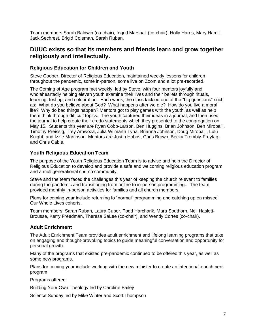Team members Sarah Baldwin (co-chair), Ingrid Marshall (co-chair), Holly Harris, Mary Hamill, Jack Sechrest, Brigid Coleman, Sarah Ruban.

# **DUUC exists so that its members and friends learn and grow together religiously and intellectually.**

## **Religious Education for Children and Youth**

Steve Cooper, Director of Religious Education, maintained weekly lessons for children throughout the pandemic, some in-person, some live on Zoom and a lot pre-recorded.

The Coming of Age program met weekly, led by Steve, with four mentors joyfully and wholeheartedly helping eleven youth examine their lives and their beliefs through rituals, learning, testing, and celebration. Each week, the class tackled one of the "big questions" such as: What do you believe about God? What happens after we die? How do you live a moral life? Why do bad things happen? Mentors got to play games with the youth, as well as help them think through difficult topics. The youth captured their ideas in a journal, and then used the journal to help create their credo statements which they presented to the congregation on May 15. Students this year are Ryan Cobb-Larson, Ben Huggins, Brian Johnson, Ben Miroballi, Timothy Preissig, Trey Amwoza, Julia Wilmarth Tyna, Brianna Johnson, Doug Miroballi, Lulu Knight, and Izzie Martinson. Mentors are Justin Hobbs, Chris Brown, Becky Trombly-Freytag, and Chris Cable.

# **Youth Religious Education Team**

The purpose of the Youth Religious Education Team is to advise and help the Director of Religious Education to develop and provide a safe and welcoming religious education program and a multigenerational church community.

Steve and the team faced the challenges this year of keeping the church relevant to families during the pandemic and transitioning from online to in-person programming.. The team provided monthly in-person activities for families and all church members.

Plans for coming year include returning to "normal" programming and catching up on missed Our Whole Lives cohorts.

Team members: Sarah Ruban, Laura Cuber, Todd Harcharik, Mara Southorn, Nell Haslett-Brousse, Kerry Freedman, Theresa SaLee (co-chair), and Wendy Cortes (co-chair).

# **Adult Enrichment**

The Adult Enrichment Team provides adult enrichment and lifelong learning programs that take on engaging and thought-provoking topics to guide meaningful conversation and opportunity for personal growth.

Many of the programs that existed pre-pandemic continued to be offered this year, as well as some new programs.

Plans for coming year include working with the new minister to create an intentional enrichment program

Programs offered:

Building Your Own Theology led by Caroline Bailey

Science Sunday led by Mike Winter and Scott Thompson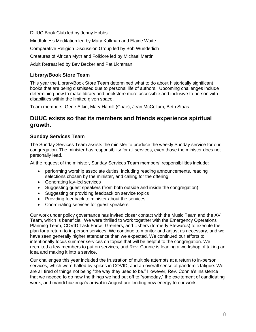DUUC Book Club led by Jenny Hobbs Mindfulness Meditation led by Mary Kullman and Elaine Waite Comparative Religion Discussion Group led by Bob Wunderlich Creatures of African Myth and Folklore led by Michael Martin Adult Retreat led by Bev Becker and Pat Lichtman

# **Library/Book Store Team**

This year the Library/Book Store Team determined what to do about historically significant books that are being dismissed due to personal life of authors. Upcoming challenges include determining how to make library and bookstore more accessible and inclusive to person with disabilities within the limited given space.

Team members: Gene Atkin, Mary Hamill (Chair), Jean McCollum, Beth Staas

# **DUUC exists so that its members and friends experience spiritual growth.**

# **Sunday Services Team**

The Sunday Services Team assists the minister to produce the weekly Sunday service for our congregation. The minister has responsibility for all services, even those the minister does not personally lead.

At the request of the minister, Sunday Services Team members' responsibilities include:

- performing worship associate duties, including reading announcements, reading selections chosen by the minister, and calling for the offering
- Generating lay-led services
- Suggesting guest speakers (from both outside and inside the congregation)
- Suggesting or providing feedback on service topics
- Providing feedback to minister about the services
- Coordinating services for guest speakers

Our work under policy governance has invited closer contact with the Music Team and the AV Team, which is beneficial. We were thrilled to work together with the Emergency Operations Planning Team, COVID Task Force, Greeters, and Ushers (formerly Stewards) to execute the plan for a return to in-person services. We continue to monitor and adjust as necessary, and we have seen generally higher attendance than we expected. We continued our efforts to intentionally focus summer services on topics that will be helpful to the congregation. We recruited a few members to put on services, and Rev. Connie is leading a workshop of taking an idea and making it into a service.

Our challenges this year included the frustration of multiple attempts at a return to in-person services, which were halted by spikes in COVID, and an overall sense of pandemic fatigue. We are all tired of things not being "the way they used to be." However, Rev. Connie's insistence that we needed to do now the things we had put off to "someday," the excitement of candidating week, and mandi hiuzenga's arrival in August are lending new energy to our work.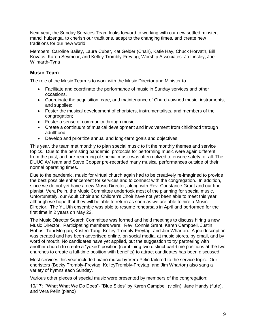Next year, the Sunday Services Team looks forward to working with our new settled minster, mandi huizenga, to cherish our traditions, adapt to the changing times, and create new traditions for our new world.

Members: Caroline Bailey, Laura Cuber, Kat Gelder (Chair), Katie Hay, Chuck Horvath, Bill Kovacs, Karen Seymour, and Kelley Trombly-Freytag; Worship Associates: Jo Linsley, Joe Wilmarth-Tyna

## **Music Team**

The role of the Music Team is to work with the Music Director and Minister to

- Facilitate and coordinate the performance of music in Sunday services and other occasions.
- Coordinate the acquisition, care, and maintenance of Church-owned music, instruments, and supplies;
- Foster the musical development of choristers, instrumentalists, and members of the congregation;
- Foster a sense of community through music;
- Create a continuum of musical development and involvement from childhood through adulthood;
- Develop and prioritize annual and long-term goals and objectives.

This year, the team met monthly to plan special music to fit the monthly themes and service topics. Due to the persisting pandemic, protocols for performing music were again different from the past, and pre-recording of special music was often utilized to ensure safety for all. The DUUC AV team and Steve Cooper pre-recorded many musical performances outside of their normal operating times.

Due to the pandemic, music for virtual church again had to be creatively re-imagined to provide the best possible enhancement for services and to connect with the congregation. In addition, since we do not yet have a new Music Director, along with Rev. Constance Grant and our fine pianist, Vera Pelin, the Music Committee undertook most of the planning for special music. Unfortunately, our Adult Choir and Children's Choir have not yet been able to meet this year, although we hope that they will be able to return as soon as we are able to hire a Music Director. The YUUth ensemble was able to resume rehearsals in April and performed for the first time in 2 years on May 22.

The Music Director Search Committee was formed and held meetings to discuss hiring a new Music Director. Participating members were: Rev. Connie Grant, Karen Campbell, Justin Hobbs, Toni Morgan, Kristen Tang, Kelley Trombly-Freytag, and Jim Wharton. A job description was created and has been advertised online, on social media, at music stores, by email, and by word of mouth. No candidates have yet applied, but the suggestion to try partnering with another church to create a "yoked" position (combining two distinct part-time positions at the two churches to create a full-time position with benefits) to attract candidates has been discussed.

Most services this year included piano music by Vera Pelin tailored to the service topic. Our choristers (Becky Trombly-Freytag, KelleyTrombly-Freytag, and Jim Wharton) also sang a variety of hymns each Sunday.

Various other pieces of special music were presented by members of the congregation:

10/17: "What What We Do Does"- "Blue Skies" by Karen Campbell (violin), Jane Handy (flute), and Vera Pelin (piano)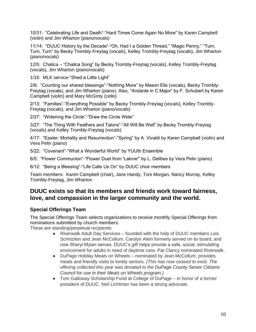10/31: "Celebrating Life and Death"-"Hard Times Come Again No More" by Karen Campbell (violin) and Jim Wharton (piano/vocals)

11/14: "DUUC History by the Decade"-"Oh, Had I a Golden Thread," "Magic Penny," "Turn, Turn, Turn" by Becky Trombly-Freytag (vocals), Kelley Trombly-Freytag (vocals), Jim Wharton (piano/vocals)

12/5: Chalica – "Chalica Song" by Becky Trombly-Freytag (vocals), Kelley Trombly-Freytag (vocals), Jim Wharton (piano/vocals)

1/16: MLK service-"Shed a Little Light"

2/6: "Counting our shared blessings"-"Nothing More" by Mason Ells (vocals), Becky Trombly-Freytag (vocals), and Jim Wharton (piano). Also, "Andante in C Major" by F. Schubert by Karen Campbell (violin) and Mary McGinty (cello)

2/13: "Families"-"Everything Possible" by Becky Trombly-Freytag (vocals), Kelley Trombly-Freytag (vocals), and Jim Wharton (piano/vocals)

2/27: "Widening the Circle"-"Draw the Circle Wide"

3/27: "The Thing With Feathers and Talons"-"All Will Be Well" by Becky Trombly-Freytag (vocals) and Kelley Trombly-Freytag (vocals)

4/17: "Easter: Mortality and Resurrection"-"Spring" by A. Vivaldi by Karen Campbell (violin) and Vera Pelin (piano)

5/22: "Covenant"-"What a Wonderful World" by YUUth Ensemble

6/5: "Flower Communion"-"Flower Duet from 'Lakme'" by L. Delibes by Vera Pelin (piano)

6/12: "Being a Blessing"-"Life Calls Us On" by DUUC choir members

Team members: Karen Campbell (chair), Jane Handy, Toni Morgan, Nancy Murray, Kelley Trombly-Freytag, Jim Wharton

# **DUUC exists so that its members and friends work toward fairness, love, and compassion in the larger community and the world.**

### **Special Offerings Team**

The Special Offerings Team selects organizations to receive monthly Special Offerings from nominations submitted by church members.

These are standing/perpetual recipients:

- Riverwalk Adult Day Services founded with the help of DUUC members Lois Schnizlein and Jean McCollum. Carolyn Atkin formerly served on its board, and now Sheryl Mylan serves. DUUC's gift helps provide a safe, social, stimulating environment for adults in need of daytime care. Pat Clancy nominated Riverwalk.
- DuPage Holiday Meals on Wheels nominated by Jean McCollum, provides meals and friendly visits to lonely seniors. *(This has now ceased to exist. The offering collected this year was donated to the DuPage County Senior Citizens Council for use in their Meals on Wheels program.)*
- Tom Galloway Scholarship Fund at College of DuPage in honor of a former president of DUUC. Neil Lichtman has been a strong advocate.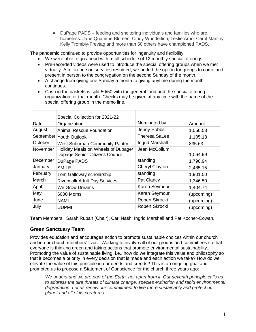● DuPage PADS – feeding and sheltering individuals and families who are homeless. Jane Quamme Blumen, Cindy Wunderlich, Leslie Arno, Carol Manthy, Kelly Trombly-Freytag and more than 50 others have championed PADS.

The pandemic continued to provide opportunities for ingenuity and flexibility.

- We were able to go ahead with a full schedule of 12 monthly special offerings.
- Pre-recorded videos were used to introduce the special offering groups when we met virtually. After in-person services resumed, we added the option for groups to come and present in person to the congregation on the second Sunday of the month.
- A change from giving one Sunday a month to giving anytime during the month continues.
- Cash in the baskets is split 50/50 with the general fund and the special offering organization for that month. Checks may be given at any time with the name of the special offering group in the memo line.

|          | Special Collection for 2021-22                                       |                       |            |
|----------|----------------------------------------------------------------------|-----------------------|------------|
| Date     | Organization                                                         | Nominated by          | Amount     |
| August   | <b>Animal Rescue Foundation</b>                                      | Jenny Hobbs           | 1,050.58   |
|          | September Youth Outlook                                              | Theresa SaLee         | 1,105.13   |
| October  | <b>West Suburban Community Pantry</b>                                | Ingrid Marshall       | 835.63     |
| November | Holiday Meals on Wheels of Dupage/<br>Dupage Senior Citizens Council | Jean McCollum         | 1,064.99   |
| December | DuPage PADS                                                          | standing              | 1,790.94   |
| January  | <b>SMILE</b>                                                         | <b>Cheryl Clayton</b> | 2,485.15   |
| February | Tom Galloway scholarship                                             | standing              | 1,901.50   |
| March    | <b>Riverwalk Adult Day Services</b>                                  | Pat Clancy            | 1,346.50   |
| April    | We Grow Dreams                                                       | Karen Seymour         | 1,404.74   |
| May      | 6000 Moms                                                            | Karen Seymour         | (upcoming) |
| June     | <b>NAMI</b>                                                          | Robert Skrocki        | (upcoming) |
| July     | <b>UUPMI</b>                                                         | Robert Skrocki        | (upcoming) |

Team Members: Sarah Ruban (Chair), Carl Nash, Ingrid Marshall and Pat Kocher-Cowan.

# **Green Sanctuary Team**

Provides education and encourages action to promote sustainable choices within our church and in our church members' lives. Working to involve all of our groups and committees so that everyone is thinking green and taking actions that promote environmental sustainability. Promoting the value of sustainable living, i.e., how do we integrate this value and philosophy so that it becomes a priority in every decision that is made and each action we take? How do we elevate the value of this principle in our deeds and creeds? This is an ongoing goal and prompted us to propose a Statement of Conscience for the church three years ago:

*We understand we are part of the Earth, not apart from it. Our seventh principle calls us to address the dire threats of climate change, species extinction and rapid environmental degradation. Let us renew our commitment to live more sustainably and protect our planet and all of its creatures.*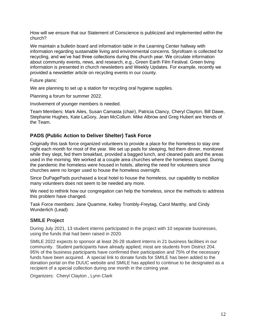How will we ensure that our Statement of Conscience is publicized and implemented within the church?

We maintain a bulletin board and information table in the Learning Center hallway with information regarding sustainable living and environmental concerns. Styrofoam is collected for recycling, and we've had three collections during this church year. We circulate information about community events, news, and research, e.g., Green Earth Film Festival. Green living information is presented in church newsletters and Weekly Updates. For example, recently we provided a newsletter article on recycling events in our county.

Future plans:

We are planning to set up a station for recycling oral hygiene supplies.

Planning a forum for summer 2022.

Involvement of younger members is needed.

Team Members: Mark Ailes, Susan Camasta (chair), Patricia Clancy, Cheryl Clayton, Bill Dawe, Stephanie Hughes, Kate LaGory, Jean McCollum. Mike Albrow and Greg Hubert are friends of the Team.

## **PADS (Public Action to Deliver Shelter) Task Force**

Originally this task force organized volunteers to provide a place for the homeless to stay one night each month for most of the year. We set up pads for sleeping, fed them dinner, monitored while they slept, fed them breakfast, provided a bagged lunch, and cleaned pads and the areas used in the morning. We worked at a couple area churches where the homeless stayed. During the pandemic the homeless were housed in hotels, altering the need for volunteers since churches were no longer used to house the homeless overnight.

Since DuPagePads purchased a local hotel to house the homeless, our capability to mobilize many volunteers does not seem to be needed any more.

We need to rethink how our congregation can help the homeless, since the methods to address this problem have changed.

Task Force members: Jane Quamme, Kelley Trombly-Freytag, Carol Manthy, and Cindy Wunderlich (Lead)

#### **SMILE Project**

During July 2021, 13 student interns participated in the project with 10 separate businesses, using the funds that had been raised in 2020.

SMILE 2022 expects to sponsor at least 26-28 student interns in 21 business facilities in our community. Student participants have already applied; most are students from District 204. 95% of the business participants have confirmed their participation and 75% of the necessary funds have been acquired. A special link to donate funds for SMILE has been added to the donation portal on the DUUC website and SMILE has applied to continue to be designated as a recipient of a special collection during one month in the coming year.

Organizers: Cheryl Clayton , Lynn Clark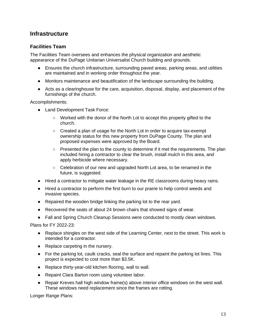# **Infrastructure**

# **Facilities Team**

The Facilities Team oversees and enhances the physical organization and aesthetic appearance of the DuPage Unitarian Universalist Church building and grounds.

- Ensures the church infrastructure, surrounding paved areas, parking areas, and utilities are maintained and in working order throughout the year.
- Monitors maintenance and beautification of the landscape surrounding the building.
- Acts as a clearinghouse for the care, acquisition, disposal, display, and placement of the furnishings of the church.

Accomplishments:

- Land Development Task Force:
	- Worked with the donor of the North Lot to accept this property gifted to the church.
	- Created a plan of usage for the North Lot in order to acquire tax-exempt ownership status for this new property from DuPage County. The plan and proposed expenses were approved by the Board.
	- $\circ$  Presented the plan to the county to determine if it met the requirements. The plan included hiring a contractor to clear the brush, install mulch in this area, and apply herbicide where necessary.
	- Celebration of our new and upgraded North Lot area, to be renamed in the future, is suggested.
- Hired a contractor to mitigate water leakage in the RE classrooms during heavy rains.
- Hired a contractor to perform the first burn to our prairie to help control weeds and invasive species.
- Repaired the wooden bridge linking the parking lot to the rear yard.
- Recovered the seats of about 24 brown chairs that showed signs of wear.
- Fall and Spring Church Cleanup Sessions were conducted to mostly clean windows.

Plans for FY 2022-23:

- Replace shingles on the west side of the Learning Center, next to the street. This work is intended for a contractor.
- Replace carpeting in the nursery.
- For the parking lot, caulk cracks, seal the surface and repaint the parking lot lines. This project is expected to cost more than \$3.5K.
- Replace thirty-year-old kitchen flooring, wall to wall.
- Repaint Clara Barton room using volunteer labor.
- Repair Kreves hall high window frame(s) above interior office windows on the west wall. These windows need replacement since the frames are rotting.

Longer Range Plans: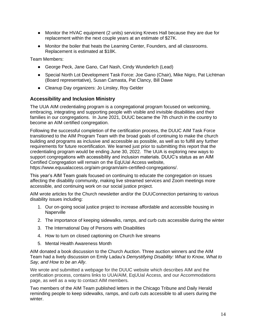- Monitor the HVAC equipment (2 units) servicing Kreves Hall because they are due for replacement within the next couple years at an estimate of \$27K.
- Monitor the boiler that heats the Learning Center, Founders, and all classrooms. Replacement is estimated at \$18K.

Team Members:

- George Peck, Jane Gano, Carl Nash, Cindy Wunderlich (Lead)
- Special North Lot Development Task Force: Joe Gano (Chair), Mike Nigro, Pat Lichtman (Board representative), Susan Camasta, Pat Clancy, Bill Dawe
- Cleanup Day organizers: Jo Linsley, Roy Gelder

### **Accessibility and Inclusion Ministry**

The UUA AIM credentialing program is a congregational program focused on welcoming, embracing, integrating and supporting people with visible and invisible disabilities and their families in our congregations. In June 2021, DUUC became the 7th church in the country to become an AIM certified congregation.

Following the successful completion of the certification process, the DUUC AIM Task Force transitioned to the AIM Program Team with the broad goals of continuing to make the church building and programs as inclusive and accessible as possible, as well as to fulfill any further requirements for future recertification. We learned just prior to submitting this report that the credentialing program would be ending June 30, 2022. The UUA is exploring new ways to support congregations with accessibility and inclusion materials. DUUC's status as an AIM Certified Congregation will remain on the EqUUal Access website, https://www.equualaccess.org/aim-program/aim-certified-congregations/.

This year's AIM Team goals focused on continuing to educate the congregation on issues affecting the disability community, making live streamed services and Zoom meetings more accessible, and continuing work on our social justice project.

AIM wrote articles for the Church newsletter and/or the DUUConnection pertaining to various disability issues including:

- 1. Our on-going social justice project to increase affordable and accessible housing in **Naperville**
- 2. The importance of keeping sidewalks, ramps, and curb cuts accessible during the winter
- 3. The International Day of Persons with Disabilities
- 4. How to turn on closed captioning on Church live streams
- 5. Mental Health Awareness Month

AIM donated a book discussion to the Church Auction. Three auction winners and the AIM Team had a lively discussion on Emily Ladau's *Demystifying Disability: What to Know, What to Say, and How to be an Ally*.

We wrote and submitted a webpage for the DUUC website which describes AIM and the certification process, contains links to UUA/AIM, EqUUal Access, and our Accommodations page, as well as a way to contact AIM members.

Two members of the AIM Team published letters in the Chicago Tribune and Daily Herald reminding people to keep sidewalks, ramps, and curb cuts accessible to all users during the winter.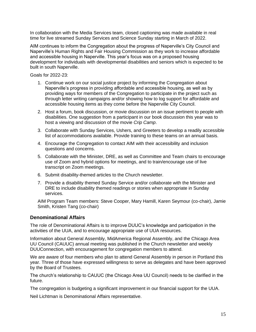In collaboration with the Media Services team, closed captioning was made available in real time for live streamed Sunday Services and Science Sunday starting in March of 2022.

AIM continues to inform the Congregation about the progress of Naperville's City Council and Naperville's Human Rights and Fair Housing Commission as they work to increase affordable and accessible housing in Naperville. This year's focus was on a proposed housing development for individuals with developmental disabilities and seniors which is expected to be built in south Naperville.

Goals for 2022-23:

- 1. Continue work on our social justice project by informing the Congregation about Naperville's progress in providing affordable and accessible housing, as well as by providing ways for members of the Congregation to participate in the project such as through letter writing campaigns and/or showing how to log support for affordable and accessible housing items as they come before the Naperville City Council.
- 2. Host a forum, book discussion, or movie discussion on an issue pertinent to people with disabilities. One suggestion from a participant in our book discussion this year was to host a viewing and discussion of the movie *Crip Camp*.
- 3. Collaborate with Sunday Services, Ushers, and Greeters to develop a readily accessible list of accommodations available. Provide training to these teams on an annual basis.
- 4. Encourage the Congregation to contact AIM with their accessibility and inclusion questions and concerns.
- 5. Collaborate with the Minister, DRE, as well as Committee and Team chairs to encourage use of Zoom and hybrid options for meetings, and to train/encourage use of live transcript on Zoom meetings.
- 6. Submit disability-themed articles to the Church newsletter.
- 7. Provide a disability themed Sunday Service and/or collaborate with the Minister and DRE to include disability themed readings or stories when appropriate in Sunday services.

AIM Program Team members: Steve Cooper, Mary Hamill, Karen Seymour (co-chair), Jamie Smith, Kristen Tang (co-chair)

### **Denominational Affairs**

The role of Denominational Affairs is to improve DUUC's knowledge and participation in the activities of the UUA, and to encourage appropriate use of UUA resources.

Information about General Assembly, MidAmerica Regional Assembly, and the Chicago Area UU Council (CAUUC) annual meeting was published in the Church newsletter and weekly DUUConnection, with encouragement for congregation members to attend.

We are aware of four members who plan to attend General Assembly in person in Portland this year. Three of those have expressed willingness to serve as delegates and have been approved by the Board of Trustees.

The church's relationship to CAUUC (the Chicago Area UU Council) needs to be clarified in the future.

The congregation is budgeting a significant improvement in our financial support for the UUA.

Neil Lichtman is Denominational Affairs representative.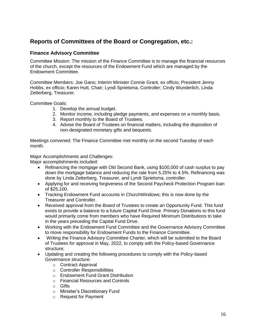# **Reports of Committees of the Board or Congregation, etc.:**

## **Finance Advisory Committee**

Committee Mission: The mission of the Finance Committee is to manage the financial resources of the church, except the resources of the Endowment Fund which are managed by the Endowment Committee.

Committee Members: Joe Gano; Interim Minister Connie Grant, ex officio; President Jenny Hobbs, ex officio; Karen Hutt, Chair; Lyndi Sprietsma, Controller; Cindy Wunderlich, Linda Zetterberg, Treasurer.

Committee Goals:

- 1. Develop the annual budget.
- 2. Monitor income, including pledge payments, and expenses on a monthly basis.
- 3. Report monthly to the Board of Trustees.
- 4. Advise the Board of Trustees on financial matters, including the disposition of non-designated monetary gifts and bequests.

Meetings convened: The Finance Committee met monthly on the second Tuesday of each month.

Major Accomplishments and Challenges:

Major accomplishments included:

- Refinancing the mortgage with Old Second Bank, using \$100,000 of cash surplus to pay down the mortgage balance and reducing the rate from 5.25% to 4.5%. Refinancing was done by Linda Zetterberg, Treasurer, and Lyndi Sprietsma, controller.
- Applying for and receiving forgiveness of the Second Paycheck Protection Program loan of \$25,100.
- Tracking Endowment Fund accounts in ChurchWindows; this is now done by the Treasurer and Controller.
- Received approval from the Board of Trustees to create an Opportunity Fund. This fund exists to provide a balance to a future Capital Fund Drive. Primary Donations to this fund would primarily come from members who have Required Minimum Distributions to take in the years preceding the Capital Fund Drive.
- Working with the Endowment Fund Committee and the Governance Advisory Committee to move responsibility for Endowment Funds to the Finance Committee.
- Writing the Finance Advisory Committee Charter, which will be submitted to the Board of Trustees for approval in May, 2022, to comply with the Policy-based Governance structure;
- Updating and creating the following procedures to comply with the Policy-based Governance structure:
	- o Contract Approval
	- o Controller Responsibilities
	- o Endowment Fund Grant Distribution
	- o Financial Resources and Controls
	- o Gifts
	- o Minister's Discretionary Fund
	- o Request for Payment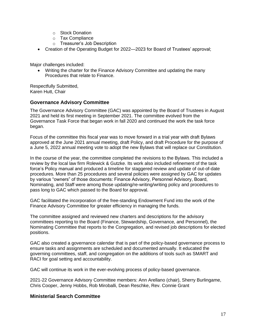- o Stock Donation
- o Tax Compliance
- o Treasurer's Job Description
- Creation of the Operating Budget for 2022—2023 for Board of Trustees' approval;

Major challenges included:

• Writing the charter for the Finance Advisory Committee and updating the many Procedures that relate to Finance.

Respectfully Submitted, Karen Hutt, Chair

### **Governance Advisory Committee**

The Governance Advisory Committee (GAC) was appointed by the Board of Trustees in August 2021 and held its first meeting in September 2021. The committee evolved from the Governance Task Force that began work in fall 2020 and continued the work the task force began.

Focus of the committee this fiscal year was to move forward in a trial year with draft Bylaws approved at the June 2021 annual meeting, draft Policy, and draft Procedure for the purpose of a June 5, 2022 annual meeting vote to adopt the new Bylaws that will replace our Constitution.

In the course of the year, the committee completed the revisions to the Bylaws. This included a review by the local law firm Rolewick & Gutzke. Its work also included refinement of the task force's Policy manual and produced a timeline for staggered review and update of out-of-date procedures. More than 25 procedures and several policies were assigned by GAC for updates by various "owners" of those documents: Finance Advisory, Personnel Advisory, Board, Nominating, and Staff were among those updating/re-writing/writing policy and procedures to pass long to GAC which passed to the Board for approval.

GAC facilitated the incorporation of the free-standing Endowment Fund into the work of the Finance Advisory Committee for greater efficiency in managing the funds.

The committee assigned and reviewed new charters and descriptions for the advisory committees reporting to the Board (Finance, Stewardship, Governance, and Personnel), the Nominating Committee that reports to the Congregation, and revised job descriptions for elected positions.

GAC also created a governance calendar that is part of the policy-based governance process to ensure tasks and assignments are scheduled and documented annually. It educated the governing committees, staff, and congregation on the additions of tools such as SMART and RACI for goal setting and accountability.

GAC will continue its work in the ever-evolving process of policy-based governance.

2021-22 Governance Advisory Committee members: Ann Arellano (chair), Sherry Burlingame, Chris Cooper, Jenny Hobbs, Rob Miroballi, Dean Reschke, Rev. Connie Grant

#### **Ministerial Search Committee**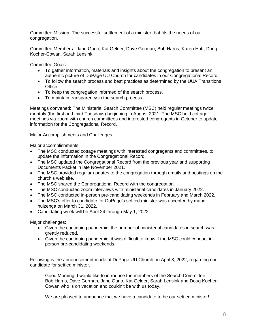Committee Mission: The successful settlement of a minister that fits the needs of our congregation.

Committee Members: Jane Gano, Kat Gelder, Dave Gorman, Bob Harris, Karen Hutt, Doug Kocher-Cowan, Sarah Lensink.

Committee Goals:

- To gather information, materials and insights about the congregation to present an authentic picture of DuPage UU Church for candidates in our Congregational Record.
- To follow the search process and best practices as determined by the UUA Transitions Office.
- To keep the congregation informed of the search process.
- To maintain transparency in the search process.

Meetings convened: The Ministerial Search Committee (MSC) held regular meetings twice monthly (the first and third Tuesdays) beginning in August 2021. The MSC held cottage meetings via zoom with church committees and interested congregants in October to update information for the Congregational Record.

Major Accomplishments and Challenges:

Major accomplishments:

- The MSC conducted cottage meetings with interested congregants and committees, to update the information in the Congregational Record.
- The MSC updated the Congregational Record from the previous year and supporting Documents Packet in late November 2021.
- The MSC provided regular updates to the congregation through emails and postings on the church's web site.
- The MSC shared the Congregational Record with the congregation.
- The MSC conducted zoom interviews with ministerial candidates in January 2022.
- The MSC conducted in-person pre-candidating weekends in February and March 2022.
- The MSC's offer to candidate for DuPage's settled minister was accepted by mandi huizenga on March 31, 2022.
- Candidating week will be April 24 through May 1, 2022.

Major challenges:

- Given the continuing pandemic, the number of ministerial candidates in search was greatly reduced.
- Given the continuing pandemic, it was difficult to know if the MSC could conduct inperson pre-candidating weekends.

Following is the announcement made at DuPage UU Church on April 3, 2022, regarding our candidate for settled minister.

Good Morning! I would like to introduce the members of the Search Committee: Bob Harris, Dave Gorman, Jane Gano, Kat Gelder, Sarah Lensink and Doug Kocher-Cowan who is on vacation and couldn't be with us today.

We are pleased to announce that we have a candidate to be our settled minister!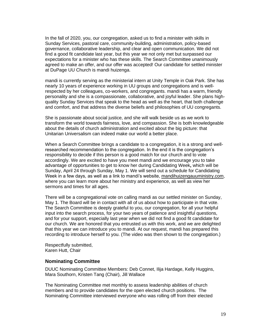In the fall of 2020, you, our congregation, asked us to find a minister with skills in Sunday Services, pastoral care, community-building, administration, policy-based governance, collaborative leadership, and clear and open communication. We did not find a good fit candidate last year, but this year we not only met but surpassed our expectations for a minister who has these skills. The Search Committee unanimously agreed to make an offer, and our offer was accepted! Our candidate for settled minister at DuPage UU Church is mandi huizenga.

mandi is currently serving as the ministerial intern at Unity Temple in Oak Park. She has nearly 10 years of experience working in UU groups and congregations and is wellrespected by her colleagues, co-workers, and congregants. mandi has a warm, friendly personality and she is a compassionate, collaborative, and joyful leader. She plans highquality Sunday Services that speak to the head as well as the heart, that both challenge and comfort, and that address the diverse beliefs and philosophies of UU congregants.

She is passionate about social justice, and she will walk beside us as we work to transform the world towards fairness, love, and compassion. She is both knowledgeable about the details of church administration and excited about the big picture: that Unitarian Universalism can indeed make our world a better place.

When a Search Committee brings a candidate to a congregation, it is a strong and wellresearched recommendation to the congregation. In the end it is the congregation's responsibility to decide if this person is a good match for our church and to vote accordingly. We are excited to have you meet mandi and we encourage you to take advantage of opportunities to get to know her during Candidating Week**,** which will be Sunday, April 24 through Sunday, May 1. We will send out a schedule for Candidating Week in a few days, as well as a link to mandi's website, [mandihuizengauuministry.com,](http://mandihuizengauuministry.com/) where you can learn more about her ministry and experience, as well as view her sermons and times for all ages.

There will be a congregational vote on calling mandi as our settled minister on Sunday, May 1. The Board will be in contact with all of us about how to participate in that vote. The Search Committee is deeply grateful to you, our congregation, for all your helpful input into the search process, for your two years of patience and insightful questions, and for your support, especially last year when we did not find a good fit candidate for our church. We are honored that you entrusted us with this work, and we are delighted that this year we can introduce you to mandi. At our request, mandi has prepared this recording to introduce herself to you. (The video was then shown to the congregation.)

Respectfully submitted, Karen Hutt, Chair

### **Nominating Committee**

DUUC Nominating Committee Members: Deb Connet, Ilija Hardage, Kelly Huggins, Mara Southorn, Kristen Tang (Chair), Jill Wallace

The Nominating Committee met monthly to assess leadership abilities of church members and to provide candidates for the open elected church positions. The Nominating Committee interviewed everyone who was rolling off from their elected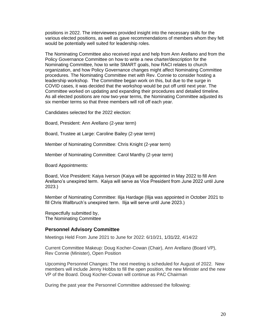positions in 2022. The interviewees provided insight into the necessary skills for the various elected positions, as well as gave recommendations of members whom they felt would be potentially well suited for leadership roles.

The Nominating Committee also received input and help from Ann Arellano and from the Policy Governance Committee on how to write a new charter/description for the Nominating Committee, how to write SMART goals, how RACI relates to church organization, and how Policy Governance changes might affect Nominating Committee procedures. The Nominating Committee met with Rev. Connie to consider hosting a leadership workshop. The Committee began work on this, but due to the surge in COVID cases, it was decided that the workshop would be put off until next year. The Committee worked on updating and expanding their procedures and detailed timeline. As all elected positions are now two-year terms, the Nominating Committee adjusted its six member terms so that three members will roll off each year.

Candidates selected for the 2022 election:

Board, President: Ann Arellano (2-year term)

Board, Trustee at Large: Caroline Bailey (2-year term)

Member of Nominating Committee: Chris Knight (2-year term)

Member of Nominating Committee: Carol Manthy (2-year term)

Board Appointments:

Board, Vice President: Kaiya Iverson (Kaiya will be appointed in May 2022 to fill Ann Arellano's unexpired term. Kaiya will serve as Vice President from June 2022 until June 2023.)

Member of Nominating Committee: Ilija Hardage (Ilija was appointed in October 2021 to fill Chris Wallbruch's unexpired term. Ilija will serve until June 2023.)

Respectfully submitted by, The Nominating Committee

#### **Personnel Advisory Committee**

Meetings Held From June 2021 to June for 2022: 6/10/21, 1/31/22, 4/14/22

Current Committee Makeup: Doug Kocher-Cowan (Chair), Ann Arellano (Board VP), Rev Connie (Minister), Open Position

Upcoming Personnel Changes: The next meeting is scheduled for August of 2022. New members will include Jenny Hobbs to fill the open position, the new Minister and the new VP of the Board. Doug Kocher-Cowan will continue as PAC Chairman

During the past year the Personnel Committee addressed the following: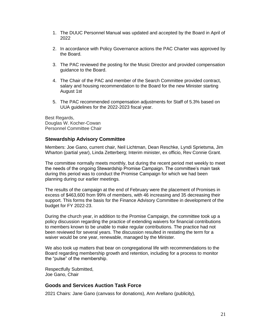- 1. The DUUC Personnel Manual was updated and accepted by the Board in April of 2022
- 2. In accordance with Policy Governance actions the PAC Charter was approved by the Board.
- 3. The PAC reviewed the posting for the Music Director and provided compensation guidance to the Board.
- 4. The Chair of the PAC and member of the Search Committee provided contract, salary and housing recommendation to the Board for the new Minister starting August 1st
- 5. The PAC recommended compensation adjustments for Staff of 5.3% based on UUA guidelines for the 2022-2023 fiscal year.

Best Regards, Douglas W. Kocher-Cowan Personnel Committee Chair

#### **Stewardship Advisory Committee**

Members: Joe Gano, current chair, Neil Lichtman, Dean Reschke, Lyndi Sprietsma, Jim Wharton (partial year), Linda Zetterberg; Interim minister, ex officio, Rev Connie Grant.

The committee normally meets monthly, but during the recent period met weekly to meet the needs of the ongoing Stewardship Promise Campaign. The committee's main task during this period was to conduct the Promise Campaign for which we had been planning during our earlier meetings.

The results of the campaign at the end of February were the placement of Promises in excess of \$463,600 from 99% of members, with 46 increasing and 35 decreasing their support. This forms the basis for the Finance Advisory Committee in development of the budget for FY 2022-23.

During the church year, in addition to the Promise Campaign, the committee took up a policy discussion regarding the practice of extending waivers for financial contributions to members known to be unable to make regular contributions. The practice had not been reviewed for several years. The discussion resulted in restating the term for a waiver would be one year, renewable, managed by the Minister.

We also took up matters that bear on congregational life with recommendations to the Board regarding membership growth and retention, including for a process to monitor the "pulse" of the membership.

Respectfully Submitted, Joe Gano, Chair

#### **Goods and Services Auction Task Force**

2021 Chairs: Jane Gano (canvass for donations), Ann Arellano (publicity),